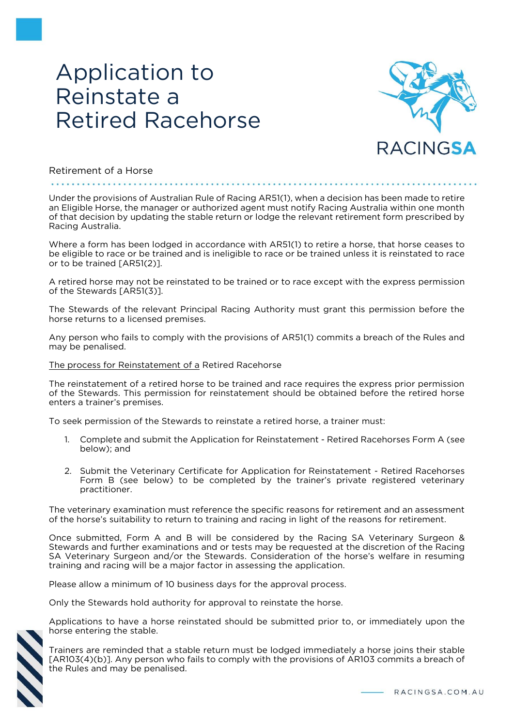# Application to Reinstate a Retired Racehorse



#### Retirement of a Horse

di proformato di proformato di proformato

Under the provisions of Australian Rule of Racing AR51(1), when a decision has been made to retire an Eligible Horse, the manager or authorized agent must notify Racing Australia within one month of that decision by updating the stable return or lodge the relevant retirement form prescribed by Racing Australia.

Where a form has been lodged in accordance with AR51(1) to retire a horse, that horse ceases to be eligible to race or be trained and is ineligible to race or be trained unless it is reinstated to race or to be trained [AR51(2)].

A retired horse may not be reinstated to be trained or to race except with the express permission of the Stewards [AR51(3)].

The Stewards of the relevant Principal Racing Authority must grant this permission before the horse returns to a licensed premises.

Any person who fails to comply with the provisions of AR51(1) commits a breach of the Rules and may be penalised.

#### The process for Reinstatement of a Retired Racehorse

The reinstatement of a retired horse to be trained and race requires the express prior permission of the Stewards. This permission for reinstatement should be obtained before the retired horse enters a trainer's premises.

To seek permission of the Stewards to reinstate a retired horse, a trainer must:

- 1. Complete and submit the Application for Reinstatement Retired Racehorses Form A (see below); and
- 2. Submit the Veterinary Certificate for Application for Reinstatement Retired Racehorses Form B (see below) to be completed by the trainer's private registered veterinary practitioner.

The veterinary examination must reference the specific reasons for retirement and an assessment of the horse's suitability to return to training and racing in light of the reasons for retirement.

Once submitted, Form A and B will be considered by the Racing SA Veterinary Surgeon & Stewards and further examinations and or tests may be requested at the discretion of the Racing SA Veterinary Surgeon and/or the Stewards. Consideration of the horse's welfare in resuming training and racing will be a major factor in assessing the application.

Please allow a minimum of 10 business days for the approval process.

Only the Stewards hold authority for approval to reinstate the horse.



Applications to have a horse reinstated should be submitted prior to, or immediately upon the horse entering the stable.

Trainers are reminded that a stable return must be lodged immediately a horse joins their stable [AR103(4)(b)]. Any person who fails to comply with the provisions of AR103 commits a breach of the Rules and may be penalised.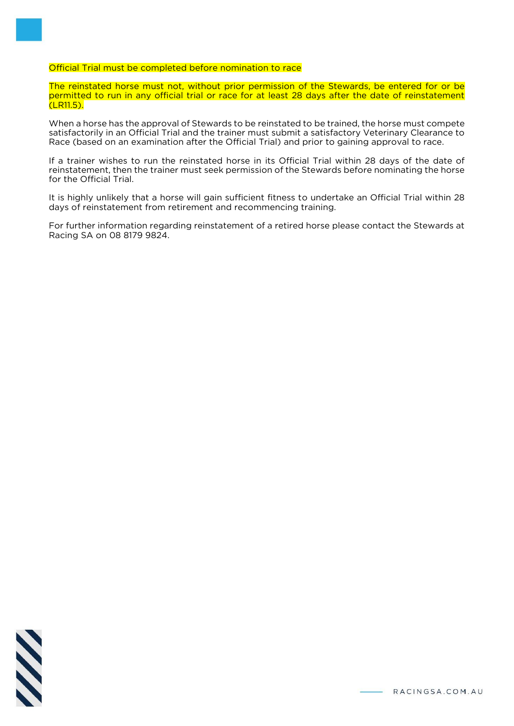Official Trial must be completed before nomination to race

The reinstated horse must not, without prior permission of the Stewards, be entered for or be permitted to run in any official trial or race for at least 28 days after the date of reinstatement (LR11.5).

When a horse has the approval of Stewards to be reinstated to be trained, the horse must compete satisfactorily in an Official Trial and the trainer must submit a satisfactory Veterinary Clearance to Race (based on an examination after the Official Trial) and prior to gaining approval to race.

If a trainer wishes to run the reinstated horse in its Official Trial within 28 days of the date of reinstatement, then the trainer must seek permission of the Stewards before nominating the horse for the Official Trial.

It is highly unlikely that a horse will gain sufficient fitness to undertake an Official Trial within 28 days of reinstatement from retirement and recommencing training.

For further information regarding reinstatement of a retired horse please contact the Stewards at Racing SA on 08 8179 9824.

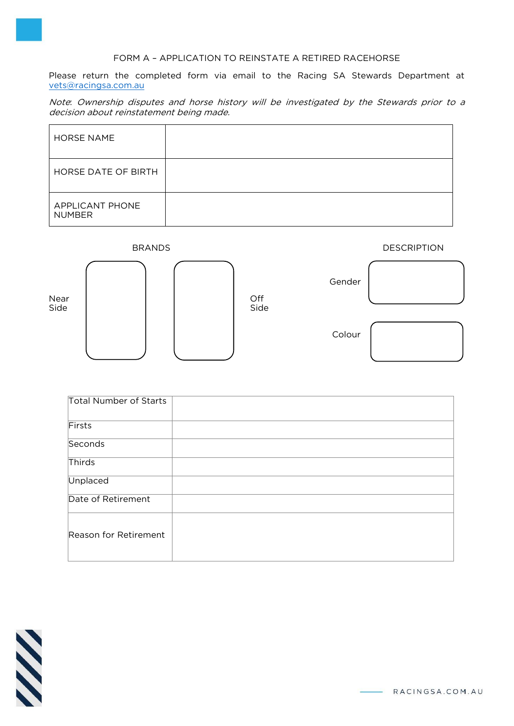#### FORM A – APPLICATION TO REINSTATE A RETIRED RACEHORSE

Please return the completed form via email to the Racing SA Stewards Department at [vets@racingsa.com.au](mailto:vets@racingsa.com.au)

Note: Ownership disputes and horse history will be investigated by the Stewards prior to a decision about reinstatement being made.

| <b>HORSE NAME</b>                       |  |
|-----------------------------------------|--|
| HORSE DATE OF BIRTH                     |  |
| <b>APPLICANT PHONE</b><br><b>NUMBER</b> |  |



| Total Number of Starts |  |
|------------------------|--|
| Firsts                 |  |
| Seconds                |  |
| Thirds                 |  |
| Unplaced               |  |
| Date of Retirement     |  |
| Reason for Retirement  |  |



- RACINGSA.COM.AU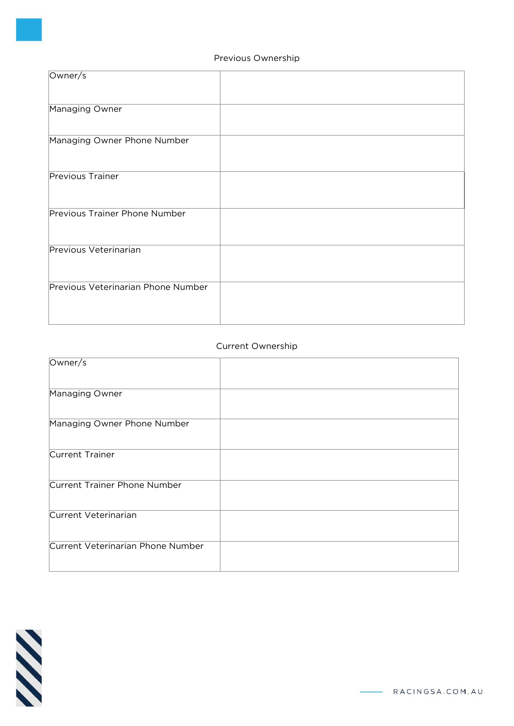## Previous Ownership

| Owner/s                            |  |
|------------------------------------|--|
| Managing Owner                     |  |
| Managing Owner Phone Number        |  |
| Previous Trainer                   |  |
| Previous Trainer Phone Number      |  |
| Previous Veterinarian              |  |
| Previous Veterinarian Phone Number |  |

## Current Ownership

| Owner/s                           |  |
|-----------------------------------|--|
|                                   |  |
| Managing Owner                    |  |
|                                   |  |
| Managing Owner Phone Number       |  |
|                                   |  |
| Current Trainer                   |  |
|                                   |  |
| Current Trainer Phone Number      |  |
|                                   |  |
| Current Veterinarian              |  |
|                                   |  |
| Current Veterinarian Phone Number |  |
|                                   |  |
|                                   |  |

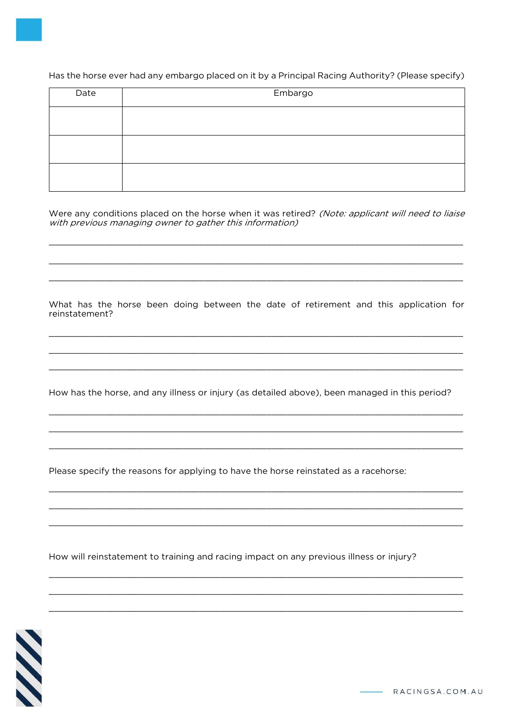Has the horse ever had any embargo placed on it by a Principal Racing Authority? (Please specify)

| Date | Embargo |
|------|---------|
|      |         |
|      |         |
|      |         |

Were any conditions placed on the horse when it was retired? (Note: applicant will need to liaise with previous managing owner to gather this information)

What has the horse been doing between the date of retirement and this application for reinstatement?

How has the horse, and any illness or injury (as detailed above), been managed in this period?

Please specify the reasons for applying to have the horse reinstated as a racehorse:

How will reinstatement to training and racing impact on any previous illness or injury?

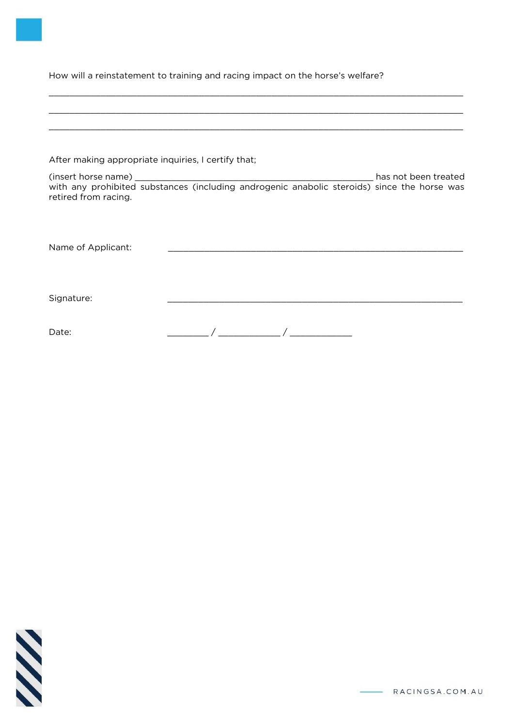How will a reinstatement to training and racing impact on the horse's welfare?

| After making appropriate inquiries, I certify that; |  |
|-----------------------------------------------------|--|
| retired from racing.                                |  |
| Name of Applicant:                                  |  |
| Signature:                                          |  |
| Date:                                               |  |

\_\_\_\_\_\_\_\_\_\_\_\_\_\_\_\_\_\_\_\_\_\_\_\_\_\_\_\_\_\_\_\_\_\_\_\_\_\_\_\_\_\_\_\_\_\_\_\_\_\_\_\_\_\_\_\_\_\_\_\_\_\_\_\_\_\_\_\_\_\_\_\_\_\_\_\_\_\_\_\_

**SSS**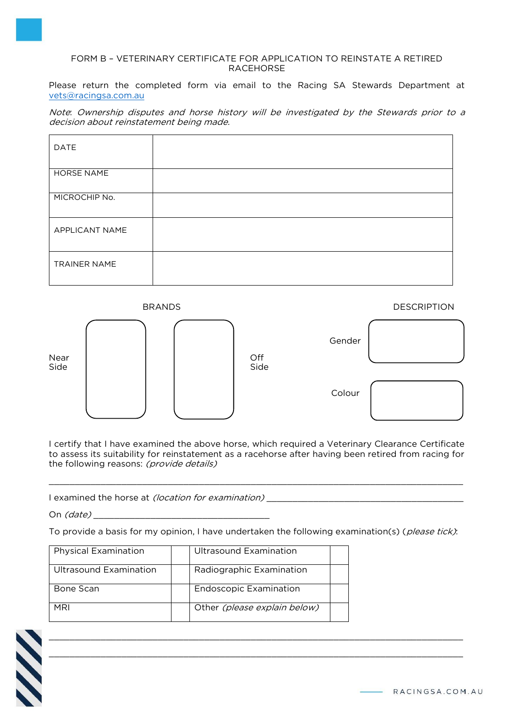#### FORM B – VETERINARY CERTIFICATE FOR APPLICATION TO REINSTATE A RETIRED RACEHORSE

Please return the completed form via email to the Racing SA Stewards Department at [vets@racingsa.com.au](mailto:vets@racingsa.com.au)

Note: Ownership disputes and horse history will be investigated by the Stewards prior to a decision about reinstatement being made.

| DATE                |  |  |
|---------------------|--|--|
| HORSE NAME          |  |  |
| MICROCHIP No.       |  |  |
| APPLICANT NAME      |  |  |
| <b>TRAINER NAME</b> |  |  |

BRANDS DESCRIPTION Gender († 1915)<br>Gender († 1906) Near | | | | | Off Side | | | | | Side and the colour colour colour colour colour colour colour colour colour colour colour

I certify that I have examined the above horse, which required a Veterinary Clearance Certificate to assess its suitability for reinstatement as a racehorse after having been retired from racing for the following reasons: (provide details)

\_\_\_\_\_\_\_\_\_\_\_\_\_\_\_\_\_\_\_\_\_\_\_\_\_\_\_\_\_\_\_\_\_\_\_\_\_\_\_\_\_\_\_\_\_\_\_\_\_\_\_\_\_\_\_\_\_\_\_\_\_\_\_\_\_\_\_\_\_\_\_\_\_\_\_\_\_\_\_\_

I examined the horse at *(location for examination)* 

On *(date)* 

To provide a basis for my opinion, I have undertaken the following examination(s) (please tick):

 $\_$  , and the state of the state of the state of the state of the state of the state of the state of the state of the state of the state of the state of the state of the state of the state of the state of the state of the \_\_\_\_\_\_\_\_\_\_\_\_\_\_\_\_\_\_\_\_\_\_\_\_\_\_\_\_\_\_\_\_\_\_\_\_\_\_\_\_\_\_\_\_\_\_\_\_\_\_\_\_\_\_\_\_\_\_\_\_\_\_\_\_\_\_\_\_\_\_\_\_\_\_\_\_\_\_\_\_

| <b>Physical Examination</b> | Ultrasound Examination        |  |
|-----------------------------|-------------------------------|--|
| Ultrasound Examination      | Radiographic Examination      |  |
| Bone Scan                   | <b>Endoscopic Examination</b> |  |
| MRI                         | Other (please explain below)  |  |



RACINGSA.COM.AU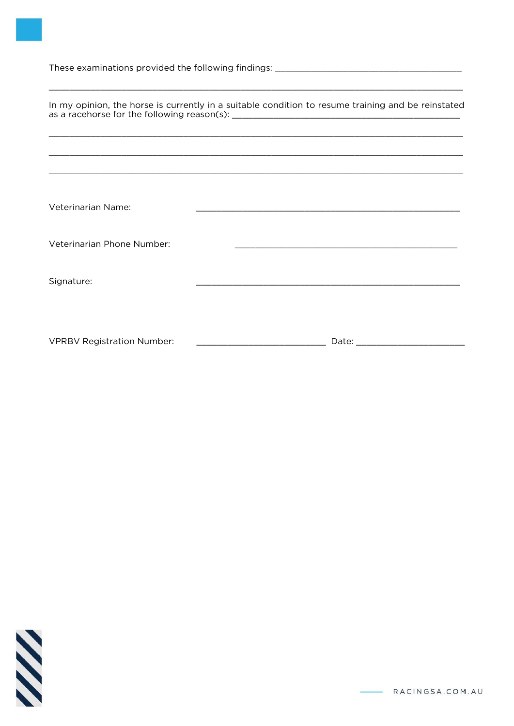|                                   | In my opinion, the horse is currently in a suitable condition to resume training and be reinstated                                                                                                                                   |
|-----------------------------------|--------------------------------------------------------------------------------------------------------------------------------------------------------------------------------------------------------------------------------------|
|                                   |                                                                                                                                                                                                                                      |
|                                   |                                                                                                                                                                                                                                      |
|                                   |                                                                                                                                                                                                                                      |
|                                   |                                                                                                                                                                                                                                      |
| Veterinarian Name:                | <u> 1989 - Johann Barn, amerikansk politiker (d. 1989)</u>                                                                                                                                                                           |
|                                   |                                                                                                                                                                                                                                      |
| Veterinarian Phone Number:        | the control of the control of the control of the control of the control of the control of the control of the control of the control of the control of the control of the control of the control of the control of the control        |
|                                   |                                                                                                                                                                                                                                      |
| Signature:                        |                                                                                                                                                                                                                                      |
|                                   |                                                                                                                                                                                                                                      |
|                                   |                                                                                                                                                                                                                                      |
| <b>VPRBV Registration Number:</b> | Date: <u>with the second contract of the second contract of the second contract of the second contract of the second contract of the second contract of the second contract of the second contract of the second contract of the</u> |



RACINGSA.COM.AU